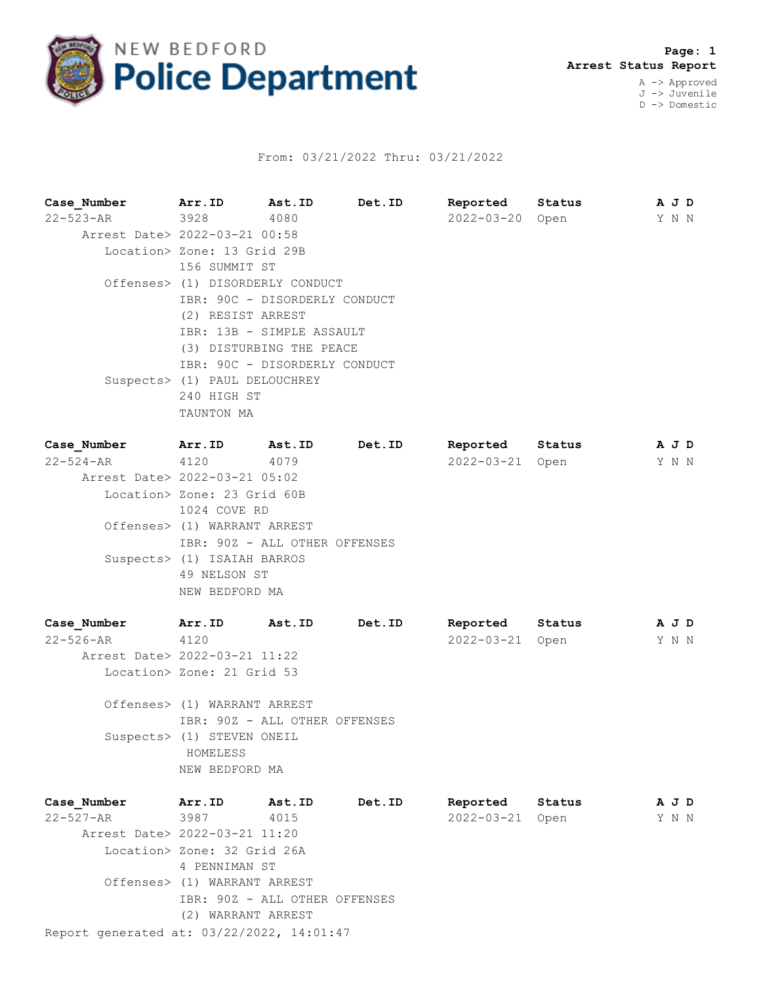

## From: 03/21/2022 Thru: 03/21/2022

**Case\_Number Arr.ID Ast.ID Det.ID Reported Status A J D** 22-523-AR 3928 4080 2022-03-20 Open Y N N Arrest Date> 2022-03-21 00:58 Location> Zone: 13 Grid 29B 156 SUMMIT ST Offenses> (1) DISORDERLY CONDUCT IBR: 90C - DISORDERLY CONDUCT (2) RESIST ARREST IBR: 13B - SIMPLE ASSAULT (3) DISTURBING THE PEACE IBR: 90C - DISORDERLY CONDUCT Suspects> (1) PAUL DELOUCHREY 240 HIGH ST TAUNTON MA **Case\_Number Arr.ID Ast.ID Det.ID Reported Status A J D** 22-524-AR 4120 4079 2022-03-21 Open Y N N Arrest Date> 2022-03-21 05:02 Location> Zone: 23 Grid 60B

1024 COVE RD Offenses> (1) WARRANT ARREST IBR: 90Z - ALL OTHER OFFENSES Suspects> (1) ISAIAH BARROS 49 NELSON ST NEW BEDFORD MA

| Case Number                   | Arr.ID                     | Ast.ID | Det.ID | Reported        | Status | A J D |  |
|-------------------------------|----------------------------|--------|--------|-----------------|--------|-------|--|
| 22-526-AR                     | 4120                       |        |        | 2022-03-21 Open |        | YNN   |  |
| Arrest Date> 2022-03-21 11:22 |                            |        |        |                 |        |       |  |
|                               | Location> Zone: 21 Grid 53 |        |        |                 |        |       |  |

 Offenses> (1) WARRANT ARREST IBR: 90Z - ALL OTHER OFFENSES Suspects> (1) STEVEN ONEIL HOMELESS NEW BEDFORD MA

Report generated at: 03/22/2022, 14:01:47 **Case\_Number Arr.ID Ast.ID Det.ID Reported Status A J D** 22-527-AR 3987 4015 2022-03-21 Open Y N N Arrest Date> 2022-03-21 11:20 Location> Zone: 32 Grid 26A 4 PENNIMAN ST Offenses> (1) WARRANT ARREST IBR: 90Z - ALL OTHER OFFENSES (2) WARRANT ARREST